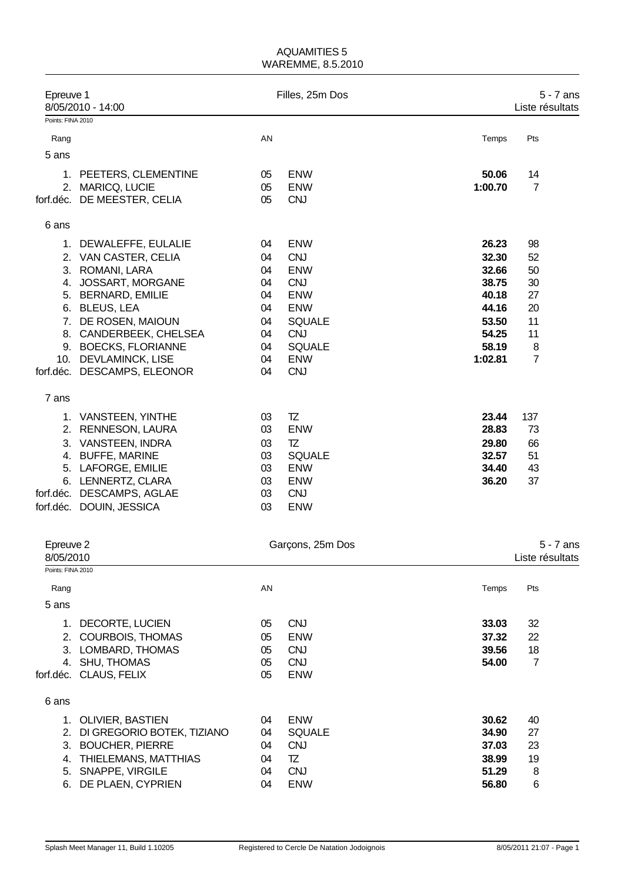| Epreuve 1         | 8/05/2010 - 14:00             |    | Filles, 25m Dos  |         | 5 - 7 ans<br>Liste résultats |
|-------------------|-------------------------------|----|------------------|---------|------------------------------|
| Points: FINA 2010 |                               |    |                  |         |                              |
| Rang              |                               | AN |                  | Temps   | Pts                          |
| 5 ans             |                               |    |                  |         |                              |
|                   |                               |    |                  |         |                              |
|                   | 1. PEETERS, CLEMENTINE        | 05 | <b>ENW</b>       | 50.06   | 14                           |
| 2.                | MARICQ, LUCIE                 | 05 | <b>ENW</b>       | 1:00.70 | $\overline{7}$               |
|                   | forf.déc. DE MEESTER, CELIA   | 05 | <b>CNJ</b>       |         |                              |
| 6 ans             |                               |    |                  |         |                              |
|                   |                               |    |                  |         |                              |
|                   | 1. DEWALEFFE, EULALIE         | 04 | <b>ENW</b>       | 26.23   | 98                           |
|                   | 2. VAN CASTER, CELIA          | 04 | <b>CNJ</b>       | 32.30   | 52                           |
| 3.                | ROMANI, LARA                  | 04 | <b>ENW</b>       | 32.66   | 50                           |
|                   | 4. JOSSART, MORGANE           | 04 | <b>CNJ</b>       | 38.75   | 30                           |
|                   | 5. BERNARD, EMILIE            | 04 | <b>ENW</b>       | 40.18   | 27                           |
| 6.                | <b>BLEUS, LEA</b>             | 04 | <b>ENW</b>       | 44.16   | 20                           |
|                   | 7. DE ROSEN, MAIOUN           | 04 | <b>SQUALE</b>    | 53.50   | 11                           |
|                   | 8. CANDERBEEK, CHELSEA        | 04 | <b>CNJ</b>       | 54.25   | 11                           |
|                   | 9. BOECKS, FLORIANNE          | 04 | <b>SQUALE</b>    | 58.19   | 8                            |
|                   | 10. DEVLAMINCK, LISE          | 04 | <b>ENW</b>       | 1:02.81 | $\overline{7}$               |
|                   | forf.déc. DESCAMPS, ELEONOR   | 04 | <b>CNJ</b>       |         |                              |
| 7 ans             |                               |    |                  |         |                              |
|                   | 1. VANSTEEN, YINTHE           | 03 | TZ               | 23.44   | 137                          |
|                   | 2. RENNESON, LAURA            | 03 | <b>ENW</b>       | 28.83   | 73                           |
|                   | 3. VANSTEEN, INDRA            | 03 | TZ               | 29.80   | 66                           |
|                   | 4. BUFFE, MARINE              | 03 | <b>SQUALE</b>    | 32.57   | 51                           |
|                   | 5. LAFORGE, EMILIE            | 03 | <b>ENW</b>       | 34.40   | 43                           |
|                   | 6. LENNERTZ, CLARA            | 03 | <b>ENW</b>       | 36.20   | 37                           |
|                   | forf.déc. DESCAMPS, AGLAE     | 03 | <b>CNJ</b>       |         |                              |
|                   | forf.déc. DOUIN, JESSICA      | 03 | <b>ENW</b>       |         |                              |
|                   |                               |    |                  |         |                              |
| Epreuve 2         |                               |    | Garçons, 25m Dos |         | $5 - 7$ ans                  |
| 8/05/2010         |                               |    |                  |         | Liste résultats              |
| Points: FINA 2010 |                               |    |                  |         |                              |
| Rang              |                               | AN |                  | Temps   | Pts                          |
| 5 ans             |                               |    |                  |         |                              |
| 1.                | DECORTE, LUCIEN               | 05 | <b>CNJ</b>       | 33.03   | 32                           |
|                   | 2. COURBOIS, THOMAS           | 05 | <b>ENW</b>       | 37.32   | 22                           |
|                   | 3. LOMBARD, THOMAS            | 05 | <b>CNJ</b>       | 39.56   | 18                           |
|                   | 4. SHU, THOMAS                | 05 | <b>CNJ</b>       | 54.00   | $\overline{7}$               |
|                   | forf.déc. CLAUS, FELIX        | 05 | <b>ENW</b>       |         |                              |
|                   |                               |    |                  |         |                              |
| 6 ans             |                               |    |                  |         |                              |
|                   | 1. OLIVIER, BASTIEN           | 04 | <b>ENW</b>       | 30.62   | 40                           |
|                   | 2. DI GREGORIO BOTEK, TIZIANO | 04 | <b>SQUALE</b>    | 34.90   | $27\,$                       |
| 3.                | <b>BOUCHER, PIERRE</b>        | 04 | <b>CNJ</b>       | 37.03   | 23                           |
| 4.                | THIELEMANS, MATTHIAS          | 04 | TZ               | 38.99   | 19                           |
| 5.                | SNAPPE, VIRGILE               | 04 | <b>CNJ</b>       | 51.29   | 8                            |
| 6.                | DE PLAEN, CYPRIEN             | 04 | <b>ENW</b>       | 56.80   | $\,6$                        |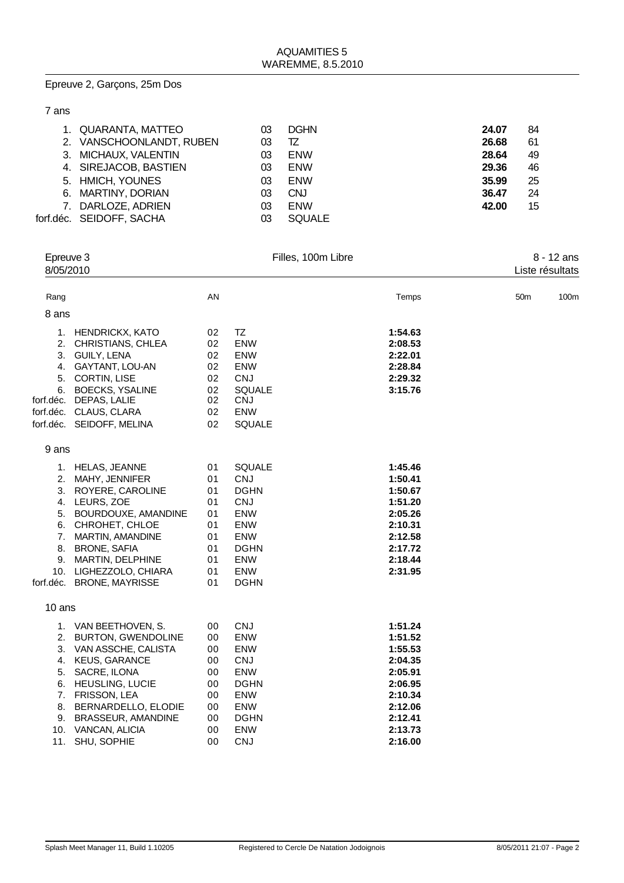## Epreuve 2, Garçons, 25m Dos

| 1. QUARANTA, MATTEO      | 03 | <b>DGHN</b>   | 24.07 | 84 |
|--------------------------|----|---------------|-------|----|
| 2. VANSCHOONLANDT, RUBEN | 03 | TZ            | 26.68 | 61 |
| 3. MICHAUX, VALENTIN     | 03 | <b>ENW</b>    | 28.64 | 49 |
| 4. SIREJACOB, BASTIEN    | 03 | <b>ENW</b>    | 29.36 | 46 |
| 5. HMICH, YOUNES         | 03 | <b>ENW</b>    | 35.99 | 25 |
| 6. MARTINY, DORIAN       | 03 | <b>CNJ</b>    | 36.47 | 24 |
| 7. DARLOZE, ADRIEN       | 03 | <b>ENW</b>    | 42.00 | 15 |
| forf.déc. SEIDOFF, SACHA | 03 | <b>SQUALE</b> |       |    |
|                          |    |               |       |    |

| Epreuve 3<br>8/05/2010 |                                              | Filles, 100m Libre |                             | 8 - 12 ans<br>Liste résultats |     |      |
|------------------------|----------------------------------------------|--------------------|-----------------------------|-------------------------------|-----|------|
|                        |                                              |                    |                             |                               |     |      |
| Rang                   |                                              | AN                 |                             | Temps                         | 50m | 100m |
| 8 ans                  |                                              |                    |                             |                               |     |      |
|                        |                                              |                    |                             |                               |     |      |
|                        | 1. HENDRICKX, KATO                           | 02                 | TZ                          | 1:54.63                       |     |      |
|                        | 2. CHRISTIANS, CHLEA                         | 02                 | <b>ENW</b>                  | 2:08.53                       |     |      |
|                        | 3. GUILY, LENA                               | 02                 | <b>ENW</b>                  | 2:22.01                       |     |      |
|                        | 4. GAYTANT, LOU-AN                           | 02                 | ENW                         | 2:28.84                       |     |      |
|                        | 5. CORTIN, LISE                              | 02                 | <b>CNJ</b>                  | 2:29.32                       |     |      |
|                        | 6. BOECKS, YSALINE<br>forf.déc. DEPAS, LALIE | 02<br>02           | <b>SQUALE</b><br><b>CNJ</b> | 3:15.76                       |     |      |
|                        | forf.déc. CLAUS, CLARA                       | 02                 | ENW                         |                               |     |      |
|                        | forf.déc. SEIDOFF, MELINA                    | 02                 | <b>SQUALE</b>               |                               |     |      |
|                        |                                              |                    |                             |                               |     |      |
| 9 ans                  |                                              |                    |                             |                               |     |      |
|                        | 1. HELAS, JEANNE                             | 01                 | <b>SQUALE</b>               | 1:45.46                       |     |      |
|                        | 2. MAHY, JENNIFER                            | 01                 | <b>CNJ</b>                  | 1:50.41                       |     |      |
|                        | 3. ROYERE, CAROLINE                          | 01                 | <b>DGHN</b>                 | 1:50.67                       |     |      |
|                        | 4. LEURS, ZOE                                | 01                 | <b>CNJ</b>                  | 1:51.20                       |     |      |
|                        | 5. BOURDOUXE, AMANDINE                       | 01                 | <b>ENW</b>                  | 2:05.26                       |     |      |
|                        | 6. CHROHET, CHLOE                            | 01                 | <b>ENW</b>                  | 2:10.31                       |     |      |
|                        | 7. MARTIN, AMANDINE                          | 01                 | ENW                         | 2:12.58                       |     |      |
|                        | 8. BRONE, SAFIA                              | 01                 | <b>DGHN</b>                 | 2:17.72                       |     |      |
|                        | 9. MARTIN, DELPHINE                          | 01                 | <b>ENW</b>                  | 2:18.44                       |     |      |
|                        | 10. LIGHEZZOLO, CHIARA                       | 01                 | <b>ENW</b>                  | 2:31.95                       |     |      |
|                        | forf.déc. BRONE, MAYRISSE                    | 01                 | <b>DGHN</b>                 |                               |     |      |
| 10 ans                 |                                              |                    |                             |                               |     |      |
|                        | 1. VAN BEETHOVEN, S.                         | 00                 | <b>CNJ</b>                  | 1:51.24                       |     |      |
|                        | 2. BURTON, GWENDOLINE                        | 00                 | <b>ENW</b>                  | 1:51.52                       |     |      |
|                        | 3. VAN ASSCHE, CALISTA                       | 00                 | ENW                         | 1:55.53                       |     |      |
|                        | 4. KEUS, GARANCE                             | 00                 | <b>CNJ</b>                  | 2:04.35                       |     |      |
|                        | 5. SACRE, ILONA                              | 00                 | <b>ENW</b>                  | 2:05.91                       |     |      |
|                        | 6. HEUSLING, LUCIE                           | 00                 | <b>DGHN</b>                 | 2:06.95                       |     |      |
|                        | 7. FRISSON, LEA                              | 00                 | <b>ENW</b>                  | 2:10.34                       |     |      |
|                        | 8. BERNARDELLO, ELODIE                       | 00                 | ENW                         | 2:12.06                       |     |      |
|                        | 9. BRASSEUR, AMANDINE                        | 00                 | <b>DGHN</b>                 | 2:12.41                       |     |      |
|                        | 10. VANCAN, ALICIA                           | 00                 | <b>ENW</b>                  | 2:13.73                       |     |      |
| 11.                    | SHU, SOPHIE                                  | 00                 | <b>CNJ</b>                  | 2:16.00                       |     |      |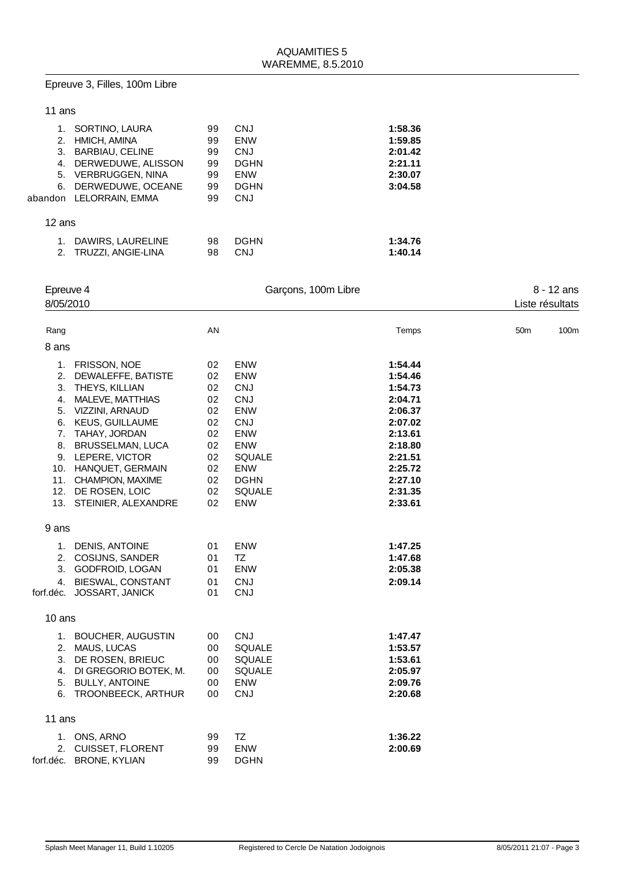#### Epreuve 3, Filles, 100m Libre

| 11 ans |                                                                                                                                                                                                                                                                                                   |                                                                            |                                                                                                                                                               |                                                                                                                                             |                 |                  |
|--------|---------------------------------------------------------------------------------------------------------------------------------------------------------------------------------------------------------------------------------------------------------------------------------------------------|----------------------------------------------------------------------------|---------------------------------------------------------------------------------------------------------------------------------------------------------------|---------------------------------------------------------------------------------------------------------------------------------------------|-----------------|------------------|
|        | 1. SORTINO, LAURA<br>2. HMICH, AMINA<br>3. BARBIAU, CELINE<br>4. DERWEDUWE, ALISSON<br>5. VERBRUGGEN, NINA<br>6. DERWEDUWE, OCEANE<br>abandon LELORRAIN, EMMA                                                                                                                                     | 99<br>99<br>99<br>99<br>99<br>99<br>99                                     | CNJ<br><b>ENW</b><br>CNJ<br><b>DGHN</b><br><b>ENW</b><br><b>DGHN</b><br><b>CNJ</b>                                                                            | 1:58.36<br>1:59.85<br>2:01.42<br>2:21.11<br>2:30.07<br>3:04.58                                                                              |                 |                  |
| 12 ans |                                                                                                                                                                                                                                                                                                   |                                                                            |                                                                                                                                                               |                                                                                                                                             |                 |                  |
|        | 1. DAWIRS, LAURELINE<br>2. TRUZZI, ANGIE-LINA                                                                                                                                                                                                                                                     | 98<br>98                                                                   | <b>DGHN</b><br><b>CNJ</b>                                                                                                                                     | 1:34.76<br>1:40.14                                                                                                                          |                 |                  |
|        | Epreuve 4<br>8/05/2010                                                                                                                                                                                                                                                                            |                                                                            | Garçons, 100m Libre                                                                                                                                           |                                                                                                                                             | Liste résultats | 8 - 12 ans       |
| Rang   |                                                                                                                                                                                                                                                                                                   | AN                                                                         |                                                                                                                                                               | Temps                                                                                                                                       | 50 <sub>m</sub> | 100 <sub>m</sub> |
| 8 ans  |                                                                                                                                                                                                                                                                                                   |                                                                            |                                                                                                                                                               |                                                                                                                                             |                 |                  |
|        | 1. FRISSON, NOE<br>2. DEWALEFFE, BATISTE<br>3. THEYS, KILLIAN<br>4. MALEVE, MATTHIAS<br>5. VIZZINI, ARNAUD<br>6. KEUS, GUILLAUME<br>7. TAHAY, JORDAN<br>8. BRUSSELMAN, LUCA<br>9. LEPERE, VICTOR<br>10. HANQUET, GERMAIN<br>11. CHAMPION, MAXIME<br>12. DE ROSEN, LOIC<br>13. STEINIER, ALEXANDRE | 02<br>02<br>02<br>02<br>02<br>02<br>02<br>02<br>02<br>02<br>02<br>02<br>02 | ENW<br><b>ENW</b><br>CNJ<br><b>CNJ</b><br><b>ENW</b><br>CNJ<br><b>ENW</b><br><b>ENW</b><br><b>SQUALE</b><br><b>ENW</b><br><b>DGHN</b><br><b>SQUALE</b><br>ENW | 1:54.44<br>1:54.46<br>1:54.73<br>2:04.71<br>2:06.37<br>2:07.02<br>2:13.61<br>2:18.80<br>2:21.51<br>2:25.72<br>2:27.10<br>2:31.35<br>2:33.61 |                 |                  |
| 9 ans  |                                                                                                                                                                                                                                                                                                   |                                                                            |                                                                                                                                                               |                                                                                                                                             |                 |                  |
| 3.     | 1. DENIS, ANTOINE<br>2. COSIJNS, SANDER<br><b>GODFROID, LOGAN</b>                                                                                                                                                                                                                                 | 01<br>01<br>01                                                             | <b>ENW</b><br>TZ<br><b>ENW</b>                                                                                                                                | 1:47.25<br>1:47.68<br>2:05.38                                                                                                               |                 |                  |

#### 3. GODFROID, LOGAN 01 ENW **2:05.38** 4. BIESWAL, CONSTANT 01 CNJ<br>éc. JOSSART, JANICK 01 CNJ forf.déc. JOSSART, JANICK

10 ans

| 1.        | <b>BOUCHER, AUGUSTIN</b> | 00 | CNJ           | 1:47.47 |
|-----------|--------------------------|----|---------------|---------|
| 2.        | MAUS, LUCAS              | 00 | <b>SQUALE</b> | 1:53.57 |
| 3.        | DE ROSEN, BRIEUC         | 00 | <b>SQUALE</b> | 1:53.61 |
| 4.        | DI GREGORIO BOTEK, M.    | 00 | <b>SQUALE</b> | 2:05.97 |
| 5.        | <b>BULLY, ANTOINE</b>    | 00 | <b>ENW</b>    | 2:09.76 |
|           | 6. TROONBEECK, ARTHUR    | 00 | <b>CNJ</b>    | 2:20.68 |
|           |                          |    |               |         |
| 11 ans    |                          |    |               |         |
|           | 1. ONS, ARNO             | 99 | TZ            | 1:36.22 |
|           | 2. CUISSET, FLORENT      | 99 | <b>ENW</b>    | 2:00.69 |
| forf.déc. | <b>BRONE, KYLIAN</b>     | 99 | <b>DGHN</b>   |         |
|           |                          |    |               |         |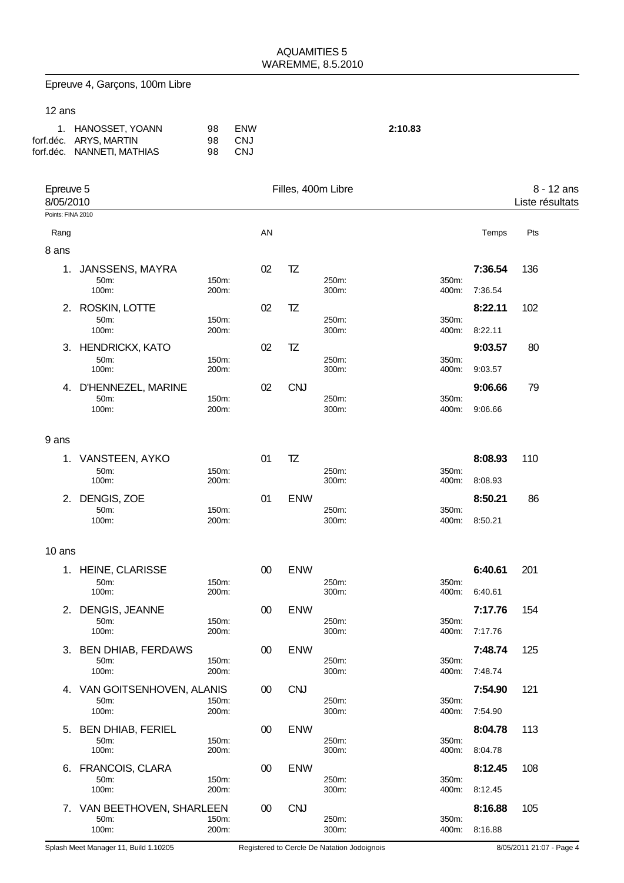| Epreuve 4, Garçons, 100m Libre |  |  |  |
|--------------------------------|--|--|--|
|--------------------------------|--|--|--|

### 12 ans

8 ans

| 1. HANOSSET, YOANN         | 98  | <b>FNW</b> | 2:10.83 |
|----------------------------|-----|------------|---------|
| forf.déc. ARYS, MARTIN     | 98. | CNJ        |         |
| forf.déc. NANNETI, MATHIAS | 98. | -CNJ       |         |

| Epreuve 5<br>8/05/2010 |       |    |    | Filles, 400m Libre |                 |         | 8 - 12 ans<br>Liste résultats |  |
|------------------------|-------|----|----|--------------------|-----------------|---------|-------------------------------|--|
| Points: FINA 2010      |       |    |    |                    |                 |         |                               |  |
| Rang                   |       | AN |    |                    |                 | Temps   | Pts                           |  |
| 8 ans                  |       |    |    |                    |                 |         |                               |  |
| JANSSENS, MAYRA<br>1.  |       | 02 | TZ |                    |                 | 7:36.54 | 136                           |  |
| 50 <sub>m</sub> :      | 150m: |    |    | 250m:              | 350m:           |         |                               |  |
| 100m:                  | 200m: |    |    | 300m:              | 400m:           | 7:36.54 |                               |  |
| ROSKIN, LOTTE<br>2.    |       | 02 | TZ |                    |                 | 8:22.11 | 102                           |  |
| 50m:                   | 150m: |    |    | 250m:              | 350m:           |         |                               |  |
| 100m                   | 200m  |    |    | 300m               | $400m$ $8.2211$ |         |                               |  |

| 50 <sub>m</sub> :<br>100m: | 150m:<br>200m: |    |            | 250m:<br>300m: | 350m:<br>400m: | 8:22.11 |    |
|----------------------------|----------------|----|------------|----------------|----------------|---------|----|
| 3. HENDRICKX, KATO         |                | 02 | ΤZ         |                |                | 9:03.57 | 80 |
| $50m$ :                    | 150m:          |    |            | 250m:          | 350m:          |         |    |
| 100m:                      | 200m:          |    |            | 300m:          | 400m:          | 9:03.57 |    |
| 4. D'HENNEZEL, MARINE      |                | 02 | <b>CNJ</b> |                |                | 9:06.66 | 79 |
| 50 <sub>m</sub> :          | 150m:          |    |            | 250m:          | 350m:          |         |    |
| 100m:                      | 200m:          |    |            | 300m:          | 400m:          | 9:06.66 |    |
|                            |                |    |            |                |                |         |    |

### 9 ans

| 1. VANSTEEN, AYKO          |                | 01 |            |                |                   | 8:08.93 | 110 |
|----------------------------|----------------|----|------------|----------------|-------------------|---------|-----|
| 50 <sub>m</sub> :<br>100m: | 150m:<br>200m: |    |            | 250m:<br>300m: | $350m$ :<br>400m: | 8:08.93 |     |
| 2. DENGIS, ZOE             |                | 01 | <b>ENW</b> |                |                   | 8:50.21 | 86  |
| 50 <sub>m</sub> :          | 150m:          |    |            | 250m:          | 350m:             |         |     |
|                            |                |    |            |                |                   |         |     |

| 1. | <b>HEINE, CLARISSE</b>     | 150m:          | 00     | <b>ENW</b> |                | 350m:          | 6:40.61 | 201 |
|----|----------------------------|----------------|--------|------------|----------------|----------------|---------|-----|
|    | 50m:<br>100m:              | 200m:          |        |            | 250m:<br>300m: | 400m:          | 6:40.61 |     |
| 2. | DENGIS, JEANNE             |                | $00\,$ | <b>ENW</b> |                |                | 7:17.76 | 154 |
|    | $50m$ :<br>100m:           | 150m:<br>200m: |        |            | 250m:<br>300m: | 350m:<br>400m: | 7:17.76 |     |
| 3. | <b>BEN DHIAB, FERDAWS</b>  |                | $00\,$ | <b>ENW</b> |                |                | 7:48.74 | 125 |
|    | 50m:<br>100m:              | 150m:<br>200m: |        |            | 250m:<br>300m: | 350m:<br>400m: | 7:48.74 |     |
| 4. | VAN GOITSENHOVEN, ALANIS   |                | 00     | <b>CNJ</b> |                |                | 7:54.90 | 121 |
|    | 50m:<br>100m:              | 150m:<br>200m: |        |            | 250m:<br>300m: | 350m:<br>400m: | 7:54.90 |     |
| 5. | <b>BEN DHIAB, FERIEL</b>   |                | 00     | <b>ENW</b> |                |                | 8:04.78 | 113 |
|    | 50m:<br>100m:              | 150m:<br>200m: |        |            | 250m:<br>300m: | 350m:<br>400m: | 8:04.78 |     |
| 6. | <b>FRANCOIS, CLARA</b>     |                | $00\,$ | <b>ENW</b> |                |                | 8:12.45 | 108 |
|    | 50m:<br>100m:              | 150m:<br>200m: |        |            | 250m:<br>300m: | 350m:<br>400m: | 8:12.45 |     |
|    | 7. VAN BEETHOVEN, SHARLEEN |                | 00     | <b>CNJ</b> |                |                | 8:16.88 | 105 |
|    | 50m:<br>100m:              | 150m:<br>200m: |        |            | 250m:<br>300m: | 350m:<br>400m: | 8:16.88 |     |
|    |                            |                |        |            |                |                |         |     |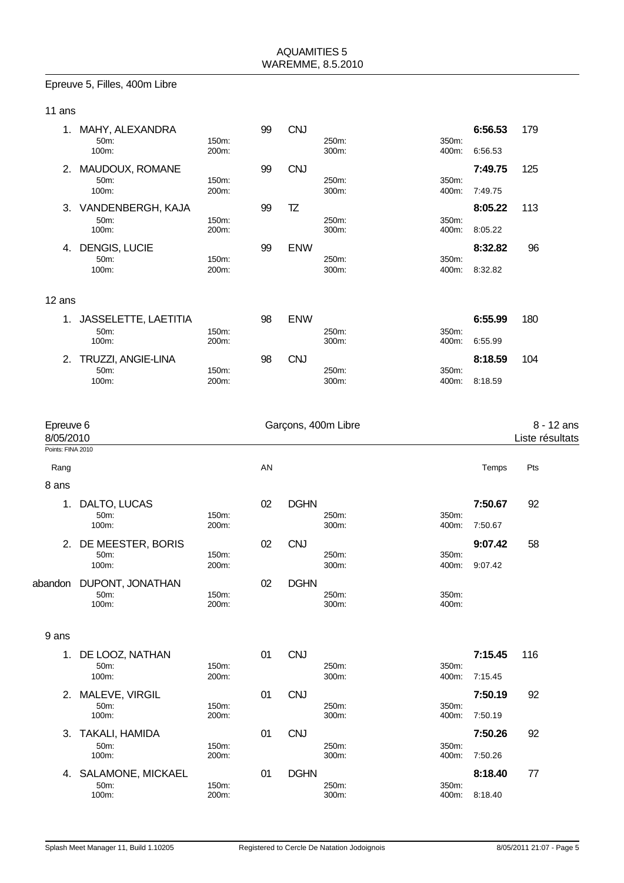#### Epreuve 5, Filles, 400m Libre

| 11 ans                    |                                           |                |    |             |                     |                |                    |                               |
|---------------------------|-------------------------------------------|----------------|----|-------------|---------------------|----------------|--------------------|-------------------------------|
|                           | 1. MAHY, ALEXANDRA<br>50m:<br>100m:       | 150m:<br>200m: | 99 | <b>CNJ</b>  | 250m:<br>300m:      | 350m:<br>400m: | 6:56.53<br>6:56.53 | 179                           |
|                           | 2. MAUDOUX, ROMANE<br>50m:<br>100m:       | 150m:<br>200m: | 99 | <b>CNJ</b>  | 250m:<br>300m:      | 350m:<br>400m: | 7:49.75<br>7:49.75 | 125                           |
|                           | 3. VANDENBERGH, KAJA<br>50m:<br>100m:     | 150m:<br>200m: | 99 | TZ          | 250m:<br>300m:      | 350m:<br>400m: | 8:05.22<br>8:05.22 | 113                           |
|                           | 4. DENGIS, LUCIE<br>50m:<br>100m:         | 150m:<br>200m: | 99 | <b>ENW</b>  | 250m:<br>300m:      | 350m:<br>400m: | 8:32.82<br>8:32.82 | 96                            |
| 12 ans                    |                                           |                |    |             |                     |                |                    |                               |
|                           | 1. JASSELETTE, LAETITIA<br>50m:<br>100m:  | 150m:<br>200m: | 98 | <b>ENW</b>  | 250m:<br>300m:      | 350m:<br>400m: | 6:55.99<br>6:55.99 | 180                           |
|                           | 2. TRUZZI, ANGIE-LINA<br>50m:<br>100m:    | 150m:<br>200m: | 98 | <b>CNJ</b>  | 250m:<br>300m:      | 350m:<br>400m: | 8:18.59<br>8:18.59 | 104                           |
|                           |                                           |                |    |             |                     |                |                    |                               |
| Epreuve 6<br>8/05/2010    |                                           |                |    |             | Garçons, 400m Libre |                |                    | 8 - 12 ans<br>Liste résultats |
| Points: FINA 2010<br>Rang |                                           |                | AN |             |                     |                | Temps              | Pts                           |
| 8 ans                     |                                           |                |    |             |                     |                |                    |                               |
| 1.                        | DALTO, LUCAS<br>50m:<br>100m:             | 150m:<br>200m: | 02 | <b>DGHN</b> | 250m:<br>300m:      | 350m:<br>400m: | 7:50.67<br>7:50.67 | 92                            |
|                           | 2. DE MEESTER, BORIS<br>50m:<br>100m:     | 150m:<br>200m: | 02 | <b>CNJ</b>  | 250m:<br>300m:      | 350m:<br>400m: | 9:07.42<br>9:07.42 | 58                            |
|                           | abandon DUPONT, JONATHAN<br>50m:<br>100m: | 150m:<br>200m: | 02 | <b>DGHN</b> | 250m:<br>300m:      | 350m:<br>400m: |                    |                               |
| 9 ans                     |                                           |                |    |             |                     |                |                    |                               |
|                           | 1. DE LOOZ, NATHAN<br>50m:<br>100m:       | 150m:<br>200m: | 01 | <b>CNJ</b>  | 250m:<br>300m:      | 350m:<br>400m: | 7:15.45<br>7:15.45 | 116                           |
|                           | 2. MALEVE, VIRGIL<br>50m:<br>100m:        | 150m:<br>200m: | 01 | <b>CNJ</b>  | 250m:<br>300m:      | 350m:<br>400m: | 7:50.19<br>7:50.19 | 92                            |

**3. TAKALI, HAMIDA 150m: 160m: 160m: 160m: 160m: 160m: 160m: 160m: 160m: 100m: 100m: 100m: 200m: 200m: 100m: 100m: 100m: 100m: 100m: 100m: 100m: 100m: 100m: 100m: 100m: 1** 

**4. SALAMONE, MICKAEL 01 DGHN 8:18.40 77**<br>
50m: 150m: 150m: 150m: 250m: 250m: 100m: 100m: 200m: 200m: 200m: 100m: 200m: 200m: 200m: 200m: 200m: 200m: 200m: 200m: 200m: 200m: 200m: 200m: 200m: 200m: 200m: 200m: 200m: 200m:

50m: 150m: 250m: 350m: 100m: 200m: 300m: 400m: 7:50.26

50m: 150m: 250m: 350m: 100m: 200m: 300m: 400m: 8:18.40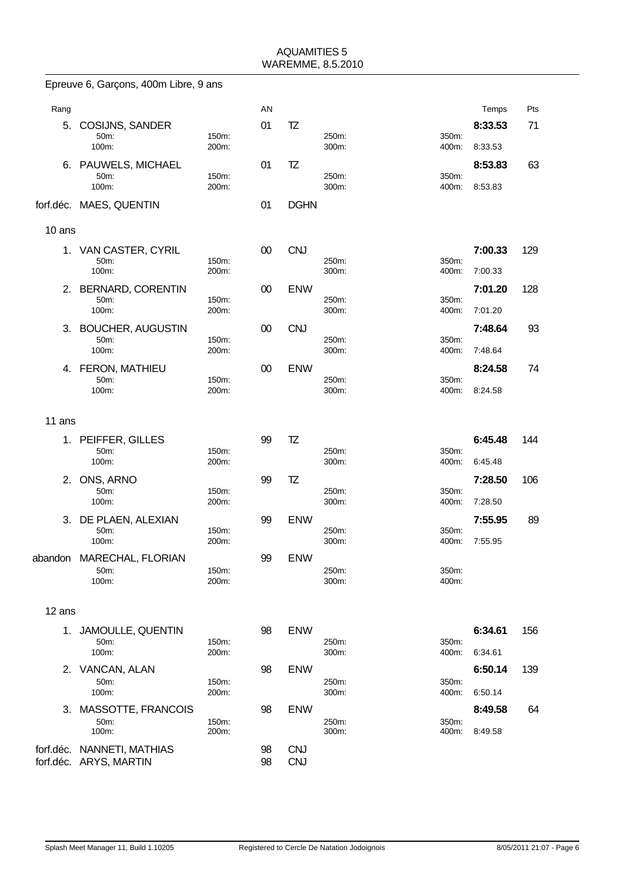|         | Epreuve 6, Garçons, 400m Libre, 9 ans                |                |          |                          |                |                |                    |     |
|---------|------------------------------------------------------|----------------|----------|--------------------------|----------------|----------------|--------------------|-----|
| Rang    |                                                      |                | AN       |                          |                |                | Temps              | Pts |
| 5.      | <b>COSIJNS, SANDER</b><br>50m:                       | 150m:          | 01       | TZ                       | 250m:          | 350m:          | 8:33.53            | 71  |
|         | 100m:                                                | 200m:          |          |                          | 300m:          | 400m:          | 8:33.53            |     |
| 6.      | PAUWELS, MICHAEL<br>50m:<br>100m:                    | 150m:<br>200m: | 01       | TZ                       | 250m:<br>300m: | 350m:<br>400m: | 8:53.83<br>8:53.83 | 63  |
|         | forf.déc. MAES, QUENTIN                              |                | 01       | <b>DGHN</b>              |                |                |                    |     |
| 10 ans  |                                                      |                |          |                          |                |                |                    |     |
| 1.      | VAN CASTER, CYRIL                                    |                | 00       | <b>CNJ</b>               |                |                | 7:00.33            | 129 |
|         | 50m:<br>100m:                                        | 150m:<br>200m: |          |                          | 250m:<br>300m: | 350m:<br>400m: | 7:00.33            |     |
|         | 2. BERNARD, CORENTIN                                 |                | 00       | <b>ENW</b>               |                | 350m:          | 7:01.20            | 128 |
|         | 50m:<br>100m:                                        | 150m:<br>200m: |          |                          | 250m:<br>300m: | 400m:          | 7:01.20            |     |
| 3.      | <b>BOUCHER, AUGUSTIN</b>                             |                | 00       | <b>CNJ</b>               |                |                | 7:48.64            | 93  |
|         | 50m:<br>100m:                                        | 150m:<br>200m: |          |                          | 250m:<br>300m: | 350m:<br>400m: | 7:48.64            |     |
|         | 4. FERON, MATHIEU                                    |                | 00       | <b>ENW</b>               |                |                | 8:24.58            | 74  |
|         | 50m:<br>100m:                                        | 150m:<br>200m: |          |                          | 250m:<br>300m: | 350m:<br>400m: | 8:24.58            |     |
| 11 ans  |                                                      |                |          |                          |                |                |                    |     |
| 1.      | PEIFFER, GILLES                                      |                | 99       | TZ                       |                |                | 6:45.48            | 144 |
|         | 50m:<br>100m:                                        | 150m:<br>200m: |          |                          | 250m:<br>300m: | 350m:<br>400m: | 6:45.48            |     |
| 2.      | ONS, ARNO                                            |                | 99       | TZ                       |                |                | 7:28.50            | 106 |
|         | 50m:<br>100m:                                        | 150m:<br>200m: |          |                          | 250m:<br>300m: | 350m:<br>400m: | 7:28.50            |     |
| 3.      | DE PLAEN, ALEXIAN<br>50m:                            | 150m:          | 99       | <b>ENW</b>               | 250m:          | 350m:          | 7:55.95            | 89  |
|         | 100m:                                                | 200m:          |          |                          | 300m:          | 400m:          | 7:55.95            |     |
| abandon | MARECHAL, FLORIAN                                    |                | 99       | ENW                      |                |                |                    |     |
|         | 50m:<br>100m:                                        | 150m:<br>200m: |          |                          | 250m:<br>300m: | 350m:<br>400m: |                    |     |
| 12 ans  |                                                      |                |          |                          |                |                |                    |     |
|         | 1. JAMOULLE, QUENTIN                                 |                | 98       | <b>ENW</b>               |                |                | 6:34.61            | 156 |
|         | 50m:<br>100m:                                        | 150m:<br>200m: |          |                          | 250m:<br>300m: | 350m:<br>400m: | 6:34.61            |     |
|         | 2. VANCAN, ALAN                                      |                | 98       | <b>ENW</b>               |                |                | 6:50.14            | 139 |
|         | 50m:<br>100m:                                        | 150m:<br>200m: |          |                          | 250m:<br>300m: | 350m:<br>400m: | 6:50.14            |     |
| 3.      | MASSOTTE, FRANCOIS                                   |                | 98       | <b>ENW</b>               |                |                | 8:49.58            | 64  |
|         | 50m:<br>100m:                                        | 150m:<br>200m: |          |                          | 250m:<br>300m: | 350m:<br>400m: | 8:49.58            |     |
|         | forf.déc. NANNETI, MATHIAS<br>forf.déc. ARYS, MARTIN |                | 98<br>98 | <b>CNJ</b><br><b>CNJ</b> |                |                |                    |     |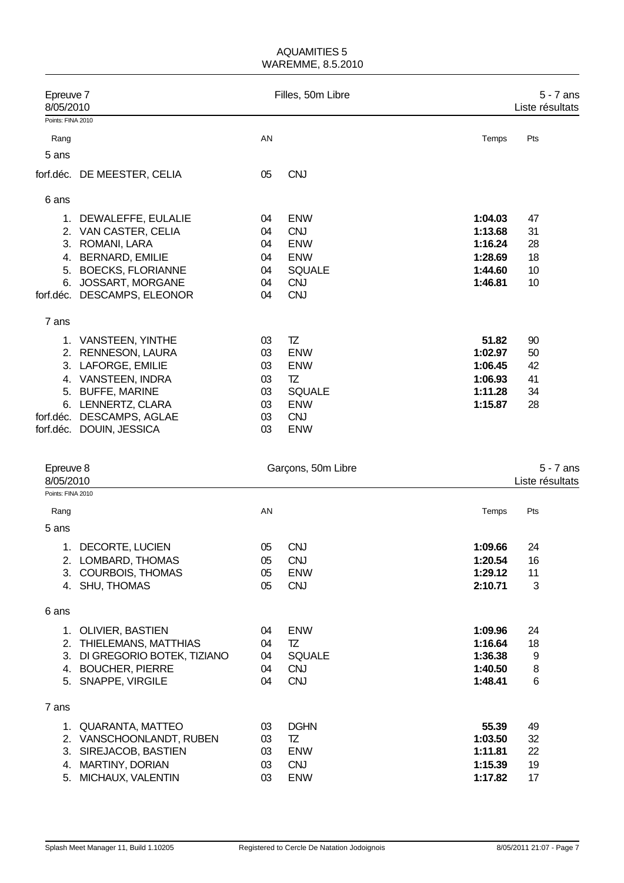| Epreuve 7<br>8/05/2010 |                                                                                                                                                                                              | Filles, 50m Libre                            |                                                                                                   |                                                                | $5 - 7$ ans<br>Liste résultats   |  |  |
|------------------------|----------------------------------------------------------------------------------------------------------------------------------------------------------------------------------------------|----------------------------------------------|---------------------------------------------------------------------------------------------------|----------------------------------------------------------------|----------------------------------|--|--|
| Points: FINA 2010      |                                                                                                                                                                                              |                                              |                                                                                                   |                                                                |                                  |  |  |
| Rang                   |                                                                                                                                                                                              | AN                                           |                                                                                                   | Temps                                                          | Pts                              |  |  |
| 5 ans                  |                                                                                                                                                                                              |                                              |                                                                                                   |                                                                |                                  |  |  |
|                        | forf.déc. DE MEESTER, CELIA                                                                                                                                                                  | 05                                           | <b>CNJ</b>                                                                                        |                                                                |                                  |  |  |
| 6 ans                  |                                                                                                                                                                                              |                                              |                                                                                                   |                                                                |                                  |  |  |
| 3.<br>5.               | 1. DEWALEFFE, EULALIE<br>2. VAN CASTER, CELIA<br>ROMANI, LARA<br>4. BERNARD, EMILIE<br><b>BOECKS, FLORIANNE</b><br>6. JOSSART, MORGANE<br>forf.déc. DESCAMPS, ELEONOR                        | 04<br>04<br>04<br>04<br>04<br>04<br>04       | <b>ENW</b><br><b>CNJ</b><br><b>ENW</b><br><b>ENW</b><br><b>SQUALE</b><br><b>CNJ</b><br><b>CNJ</b> | 1:04.03<br>1:13.68<br>1:16.24<br>1:28.69<br>1:44.60<br>1:46.81 | 47<br>31<br>28<br>18<br>10<br>10 |  |  |
| 7 ans                  |                                                                                                                                                                                              |                                              |                                                                                                   |                                                                |                                  |  |  |
| 5.                     | 1. VANSTEEN, YINTHE<br>2. RENNESON, LAURA<br>3. LAFORGE, EMILIE<br>4. VANSTEEN, INDRA<br><b>BUFFE, MARINE</b><br>6. LENNERTZ, CLARA<br>forf.déc. DESCAMPS, AGLAE<br>forf.déc. DOUIN, JESSICA | 03<br>03<br>03<br>03<br>03<br>03<br>03<br>03 | TZ<br><b>ENW</b><br><b>ENW</b><br>TZ<br><b>SQUALE</b><br><b>ENW</b><br><b>CNJ</b><br><b>ENW</b>   | 51.82<br>1:02.97<br>1:06.45<br>1:06.93<br>1:11.28<br>1:15.87   | 90<br>50<br>42<br>41<br>34<br>28 |  |  |
| Epreuve 8<br>8/05/2010 |                                                                                                                                                                                              |                                              | Garçons, 50m Libre                                                                                |                                                                | $5 - 7$ ans<br>Liste résultats   |  |  |
| Points: FINA 2010      |                                                                                                                                                                                              |                                              |                                                                                                   |                                                                |                                  |  |  |
| Rang                   |                                                                                                                                                                                              | AN                                           |                                                                                                   | Temps                                                          | Pts                              |  |  |
| 5 ans                  |                                                                                                                                                                                              |                                              |                                                                                                   |                                                                |                                  |  |  |
| 1.                     | DECORTE, LUCIEN<br>2. LOMBARD, THOMAS<br>3. COURBOIS, THOMAS<br>4. SHU, THOMAS                                                                                                               | 05<br>05<br>05<br>05                         | <b>CNJ</b><br><b>CNJ</b><br><b>ENW</b><br><b>CNJ</b>                                              | 1:09.66<br>1:20.54<br>1:29.12<br>2:10.71                       | 24<br>16<br>11<br>3              |  |  |
| 6 ans                  |                                                                                                                                                                                              |                                              |                                                                                                   |                                                                |                                  |  |  |
|                        | 1. OLIVIER, BASTIEN<br>2. THIELEMANS, MATTHIAS<br>3. DI GREGORIO BOTEK, TIZIANO<br>4. BOUCHER, PIERRE<br>5. SNAPPE, VIRGILE                                                                  | 04<br>04<br>04<br>04<br>04                   | <b>ENW</b><br>TZ<br><b>SQUALE</b><br><b>CNJ</b><br><b>CNJ</b>                                     | 1:09.96<br>1:16.64<br>1:36.38<br>1:40.50<br>1:48.41            | 24<br>18<br>9<br>8<br>6          |  |  |
| 7 ans                  |                                                                                                                                                                                              |                                              |                                                                                                   |                                                                |                                  |  |  |
| 3.<br>4.<br>5.         | 1. QUARANTA, MATTEO<br>2. VANSCHOONLANDT, RUBEN<br>SIREJACOB, BASTIEN<br><b>MARTINY, DORIAN</b><br>MICHAUX, VALENTIN                                                                         | 03<br>03<br>03<br>03<br>03                   | <b>DGHN</b><br>TZ<br><b>ENW</b><br><b>CNJ</b><br>ENW                                              | 55.39<br>1:03.50<br>1:11.81<br>1:15.39<br>1:17.82              | 49<br>32<br>22<br>19<br>17       |  |  |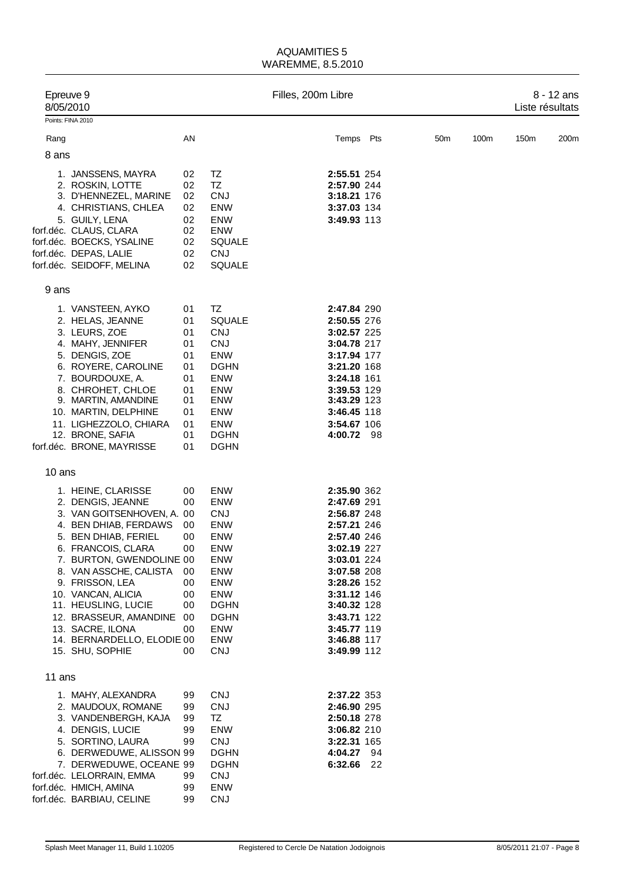|        | Epreuve 9<br>8/05/2010                               |          |                           | Filles, 200m Libre |                            |                 |      | Liste résultats | 8 - 12 ans |
|--------|------------------------------------------------------|----------|---------------------------|--------------------|----------------------------|-----------------|------|-----------------|------------|
|        | Points: FINA 2010                                    |          |                           |                    |                            |                 |      |                 |            |
| Rang   |                                                      | AN       |                           |                    | Temps Pts                  | 50 <sub>m</sub> | 100m | 150m            | 200m       |
| 8 ans  |                                                      |          |                           |                    |                            |                 |      |                 |            |
|        |                                                      |          |                           |                    |                            |                 |      |                 |            |
|        | 1. JANSSENS, MAYRA                                   | 02       | TZ                        |                    | 2:55.51 254                |                 |      |                 |            |
|        | 2. ROSKIN, LOTTE                                     | 02       | TZ                        |                    | 2:57.90 244                |                 |      |                 |            |
|        | 3. D'HENNEZEL, MARINE<br>4. CHRISTIANS, CHLEA        | 02<br>02 | <b>CNJ</b><br>ENW         |                    | 3:18.21 176<br>3:37.03 134 |                 |      |                 |            |
|        | 5. GUILY, LENA                                       | 02       | <b>ENW</b>                |                    | 3:49.93 113                |                 |      |                 |            |
|        | forf.déc. CLAUS, CLARA                               | 02       | <b>ENW</b>                |                    |                            |                 |      |                 |            |
|        | forf.déc. BOECKS, YSALINE                            | 02       | <b>SQUALE</b>             |                    |                            |                 |      |                 |            |
|        | forf.déc. DEPAS, LALIE                               | 02       | <b>CNJ</b>                |                    |                            |                 |      |                 |            |
|        | forf.déc. SEIDOFF, MELINA                            | 02       | <b>SQUALE</b>             |                    |                            |                 |      |                 |            |
|        |                                                      |          |                           |                    |                            |                 |      |                 |            |
| 9 ans  |                                                      |          |                           |                    |                            |                 |      |                 |            |
|        | 1. VANSTEEN, AYKO                                    | 01       | TZ                        |                    | 2:47.84 290                |                 |      |                 |            |
|        | 2. HELAS, JEANNE                                     | 01       | <b>SQUALE</b>             |                    | 2:50.55 276                |                 |      |                 |            |
|        | 3. LEURS, ZOE                                        | 01       | <b>CNJ</b>                |                    | <b>3:02.57 225</b>         |                 |      |                 |            |
|        | 4. MAHY, JENNIFER                                    | 01       | <b>CNJ</b>                |                    | 3:04.78 217                |                 |      |                 |            |
|        | 5. DENGIS, ZOE                                       | 01       | <b>ENW</b>                |                    | 3:17.94 177                |                 |      |                 |            |
|        | 6. ROYERE, CAROLINE<br>7. BOURDOUXE, A.              | 01<br>01 | <b>DGHN</b><br>ENW        |                    | 3:21.20 168<br>3:24.18 161 |                 |      |                 |            |
|        | 8. CHROHET, CHLOE                                    | 01       | <b>ENW</b>                |                    | 3:39.53 129                |                 |      |                 |            |
|        | 9. MARTIN, AMANDINE                                  | 01       | ENW                       |                    | 3:43.29 123                |                 |      |                 |            |
|        | 10. MARTIN, DELPHINE                                 | 01       | ENW                       |                    | 3:46.45 118                |                 |      |                 |            |
|        | 11. LIGHEZZOLO, CHIARA                               | 01       | <b>ENW</b>                |                    | 3:54.67 106                |                 |      |                 |            |
|        | 12. BRONE, SAFIA                                     | 01       | <b>DGHN</b>               |                    | 4:00.72 98                 |                 |      |                 |            |
|        | forf.déc. BRONE, MAYRISSE                            | 01       | <b>DGHN</b>               |                    |                            |                 |      |                 |            |
| 10 ans |                                                      |          |                           |                    |                            |                 |      |                 |            |
|        | 1. HEINE, CLARISSE                                   | 00       | <b>ENW</b>                |                    | 2:35.90 362                |                 |      |                 |            |
|        | 2. DENGIS, JEANNE                                    | 00       | <b>ENW</b>                |                    | 2:47.69 291                |                 |      |                 |            |
|        | 3. VAN GOITSENHOVEN, A. 00                           |          | <b>CNJ</b>                |                    | 2:56.87 248                |                 |      |                 |            |
|        | 4. BEN DHIAB, FERDAWS                                | 00       | <b>ENW</b>                |                    | 2:57.21 246                |                 |      |                 |            |
|        | 5. BEN DHIAB, FERIEL                                 | 00       | <b>ENW</b>                |                    | 2:57.40 246                |                 |      |                 |            |
|        | 6. FRANCOIS, CLARA                                   | 00       | <b>ENW</b>                |                    | 3:02.19 227                |                 |      |                 |            |
|        | 7. BURTON, GWENDOLINE 00                             |          | ENW                       |                    | 3:03.01 224                |                 |      |                 |            |
|        | 8. VAN ASSCHE, CALISTA                               | 00       | ENW                       |                    | 3:07.58 208                |                 |      |                 |            |
|        | 9. FRISSON, LEA<br>10. VANCAN, ALICIA                | 00<br>00 | ENW<br>ENW                |                    | 3:28.26 152<br>3:31.12 146 |                 |      |                 |            |
|        | 11. HEUSLING, LUCIE                                  | 00       | <b>DGHN</b>               |                    | 3:40.32 128                |                 |      |                 |            |
|        | 12. BRASSEUR, AMANDINE 00                            |          | <b>DGHN</b>               |                    | 3:43.71 122                |                 |      |                 |            |
|        | 13. SACRE, ILONA                                     | 00       | <b>ENW</b>                |                    | 3:45.77 119                |                 |      |                 |            |
|        | 14. BERNARDELLO, ELODIE 00                           |          | ENW                       |                    | 3:46.88 117                |                 |      |                 |            |
|        | 15. SHU, SOPHIE                                      | 00       | <b>CNJ</b>                |                    | 3:49.99 112                |                 |      |                 |            |
| 11 ans |                                                      |          |                           |                    |                            |                 |      |                 |            |
|        | 1. MAHY, ALEXANDRA                                   | 99       | <b>CNJ</b>                |                    | 2:37.22 353                |                 |      |                 |            |
|        | 2. MAUDOUX, ROMANE                                   | 99       | <b>CNJ</b>                |                    | 2:46.90 295                |                 |      |                 |            |
|        | 3. VANDENBERGH, KAJA                                 | 99       | TZ                        |                    | 2:50.18 278                |                 |      |                 |            |
|        | 4. DENGIS, LUCIE                                     | 99       | ENW                       |                    | 3:06.82 210                |                 |      |                 |            |
|        | 5. SORTINO, LAURA                                    | 99       | <b>CNJ</b>                |                    | 3:22.31 165                |                 |      |                 |            |
|        | 6. DERWEDUWE, ALISSON 99                             |          | <b>DGHN</b>               |                    | 4:04.27 94                 |                 |      |                 |            |
|        | 7. DERWEDUWE, OCEANE 99<br>forf.déc. LELORRAIN, EMMA | 99       | <b>DGHN</b><br><b>CNJ</b> |                    | 6:32.66 22                 |                 |      |                 |            |
|        | forf.déc. HMICH, AMINA                               | 99       | ENW                       |                    |                            |                 |      |                 |            |
|        | forf.déc. BARBIAU, CELINE                            | 99       | CNJ                       |                    |                            |                 |      |                 |            |
|        |                                                      |          |                           |                    |                            |                 |      |                 |            |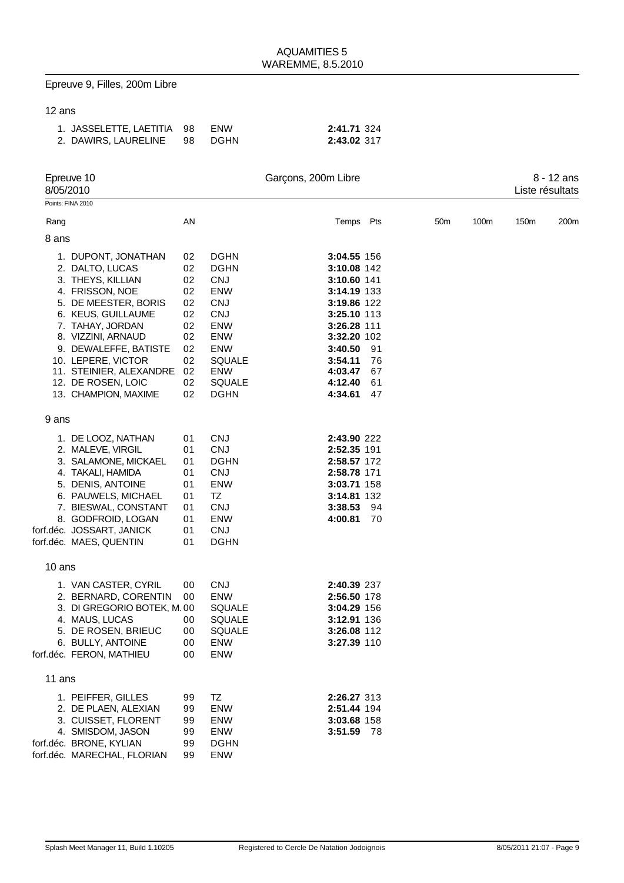### Epreuve 9, Filles, 200m Libre

| 1. JASSELETTE, LAETITIA 98 ENW |  | 2:41.71 324 |
|--------------------------------|--|-------------|
| 2. DAWIRS, LAURELINE 98 DGHN   |  | 2:43.02 317 |

|        | Epreuve 10<br>8/05/2010                                                                                                                                                                                                                                                                        |                                                                            |                                                                                                                                                                                      | Garçons, 200m Libre                                                                                                                                                         |                            |                 |      |      | 8 - 12 ans<br>Liste résultats |
|--------|------------------------------------------------------------------------------------------------------------------------------------------------------------------------------------------------------------------------------------------------------------------------------------------------|----------------------------------------------------------------------------|--------------------------------------------------------------------------------------------------------------------------------------------------------------------------------------|-----------------------------------------------------------------------------------------------------------------------------------------------------------------------------|----------------------------|-----------------|------|------|-------------------------------|
|        | Points: FINA 2010                                                                                                                                                                                                                                                                              |                                                                            |                                                                                                                                                                                      |                                                                                                                                                                             |                            |                 |      |      |                               |
| Rang   |                                                                                                                                                                                                                                                                                                | AN                                                                         |                                                                                                                                                                                      | Temps Pts                                                                                                                                                                   |                            | 50 <sub>m</sub> | 100m | 150m | 200m                          |
| 8 ans  |                                                                                                                                                                                                                                                                                                |                                                                            |                                                                                                                                                                                      |                                                                                                                                                                             |                            |                 |      |      |                               |
|        | 1. DUPONT, JONATHAN<br>2. DALTO, LUCAS<br>3. THEYS, KILLIAN<br>4. FRISSON, NOE<br>5. DE MEESTER, BORIS<br>6. KEUS, GUILLAUME<br>7. TAHAY, JORDAN<br>8. VIZZINI, ARNAUD<br>9. DEWALEFFE, BATISTE<br>10. LEPERE, VICTOR<br>11. STEINIER, ALEXANDRE<br>12. DE ROSEN, LOIC<br>13. CHAMPION, MAXIME | 02<br>02<br>02<br>02<br>02<br>02<br>02<br>02<br>02<br>02<br>02<br>02<br>02 | <b>DGHN</b><br><b>DGHN</b><br><b>CNJ</b><br><b>ENW</b><br><b>CNJ</b><br><b>CNJ</b><br><b>ENW</b><br>ENW<br><b>ENW</b><br><b>SQUALE</b><br><b>ENW</b><br><b>SQUALE</b><br><b>DGHN</b> | 3:04.55 156<br>3:10.08 142<br>3:10.60 141<br>3:14.19 133<br>3:19.86 122<br>3:25.10 113<br>3:26.28 111<br>3:32.20 102<br>3:40.50<br>3:54.11<br>4:03.47<br>4:12.40<br>4:34.61 | 91<br>76<br>67<br>61<br>47 |                 |      |      |                               |
| 9 ans  |                                                                                                                                                                                                                                                                                                |                                                                            |                                                                                                                                                                                      |                                                                                                                                                                             |                            |                 |      |      |                               |
|        | 1. DE LOOZ, NATHAN<br>2. MALEVE, VIRGIL<br>3. SALAMONE, MICKAEL<br>4. TAKALI, HAMIDA<br>5. DENIS, ANTOINE<br>6. PAUWELS, MICHAEL<br>7. BIESWAL, CONSTANT<br>8. GODFROID, LOGAN<br>forf.déc. JOSSART, JANICK<br>forf.déc. MAES, QUENTIN                                                         | 01<br>01<br>01<br>01<br>01<br>01<br>01<br>01<br>01<br>01                   | <b>CNJ</b><br><b>CNJ</b><br><b>DGHN</b><br><b>CNJ</b><br><b>ENW</b><br>TZ<br><b>CNJ</b><br><b>ENW</b><br><b>CNJ</b><br><b>DGHN</b>                                                   | 2:43.90 222<br>2:52.35 191<br>2:58.57 172<br>2:58.78 171<br>3:03.71 158<br>3:14.81 132<br>3:38.53<br>4:00.81                                                                | 94<br>70                   |                 |      |      |                               |
| 10 ans |                                                                                                                                                                                                                                                                                                |                                                                            |                                                                                                                                                                                      |                                                                                                                                                                             |                            |                 |      |      |                               |
|        | 1. VAN CASTER, CYRIL<br>2. BERNARD, CORENTIN<br>3. DI GREGORIO BOTEK, M. 00<br>4. MAUS, LUCAS<br>5. DE ROSEN, BRIEUC<br>6. BULLY, ANTOINE<br>forf.déc. FERON, MATHIEU                                                                                                                          | 00<br>00<br>00<br>00<br>00<br>00                                           | <b>CNJ</b><br><b>ENW</b><br>SQUALE<br><b>SQUALE</b><br><b>SQUALE</b><br>ENW<br>ENW                                                                                                   | 2:40.39 237<br>2:56.50 178<br>3:04.29 156<br>3:12.91 136<br>3:26.08 112<br>3:27.39 110                                                                                      |                            |                 |      |      |                               |
| 11 ans |                                                                                                                                                                                                                                                                                                |                                                                            |                                                                                                                                                                                      |                                                                                                                                                                             |                            |                 |      |      |                               |
|        | 1. PEIFFER, GILLES<br>2. DE PLAEN, ALEXIAN<br>3. CUISSET, FLORENT<br>4. SMISDOM, JASON<br>forf.déc. BRONE, KYLIAN<br>forf.déc. MARECHAL, FLORIAN                                                                                                                                               | 99<br>99<br>99<br>99<br>99<br>99                                           | TZ<br>ENW<br>ENW<br>ENW<br><b>DGHN</b><br>ENW                                                                                                                                        | 2:26.27 313<br>2:51.44 194<br>3:03.68 158<br>3:51.59 78                                                                                                                     |                            |                 |      |      |                               |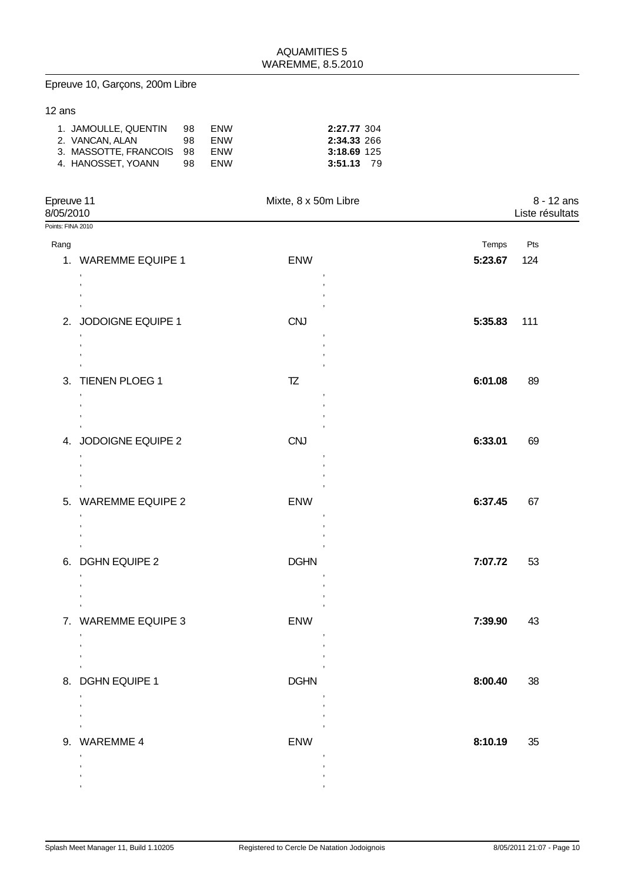# Epreuve 10, Garçons, 200m Libre

| 1. JAMOULLE, QUENTIN    | 98   | <b>ENW</b> | 2:27.77 304 |
|-------------------------|------|------------|-------------|
| 2. VANCAN. ALAN         | 98.  | <b>ENW</b> | 2:34.33 266 |
| 3. MASSOTTE FRANCOIS 98 |      | ENW        | 3:18.69 125 |
| 4. HANOSSET, YOANN      | - 98 | <b>ENW</b> | 3:51.13 79  |

| Epreuve 11<br>8/05/2010 |                                                                                 | Mixte, 8 x 50m Libre                                                   |         | 8 - 12 ans<br>Liste résultats |
|-------------------------|---------------------------------------------------------------------------------|------------------------------------------------------------------------|---------|-------------------------------|
| Points: FINA 2010       |                                                                                 |                                                                        |         |                               |
| Rang                    |                                                                                 |                                                                        | Temps   | Pts                           |
|                         | 1. WAREMME EQUIPE 1                                                             | <b>ENW</b>                                                             | 5:23.67 | 124                           |
|                         | $\,$<br>$\,$<br>$\cdot$                                                         |                                                                        |         |                               |
|                         | $\,$<br>2. JODOIGNE EQUIPE 1<br>$\,$                                            | $\,$<br><b>CNJ</b><br>$\,$                                             | 5:35.83 | 111                           |
|                         | $\cdot$<br>$\cdot$<br>$\,$<br>3. TIENEN PLOEG 1<br>$\,$                         | $\,$<br>TZ<br>$\,$                                                     | 6:01.08 | 89                            |
|                         | $\cdot$<br>$\,$<br>$^\mathrm{''}$<br>4. JODOIGNE EQUIPE 2<br>$\,$               | $\,$<br>$\,$<br><b>CNJ</b>                                             | 6:33.01 | 69                            |
|                         | $\cdot$<br>$\cdot$<br>5. WAREMME EQUIPE 2<br>$\,$<br>$\cdot$                    | $\,$<br>ENW                                                            | 6:37.45 | 67                            |
|                         | $\,$<br>$\,$<br>6. DGHN EQUIPE 2<br>$\,$<br>$\,$                                | $\,$<br><b>DGHN</b><br>$\,$                                            | 7:07.72 | 53                            |
|                         | $\,$<br>$\,$<br>7. WAREMME EQUIPE 3<br>$\,$<br>$\overline{\phantom{a}}$         | $\,$<br>$\,$<br><b>ENW</b>                                             | 7:39.90 | 43                            |
|                         | $\,$<br>$\sim 10^{-11}$<br>8. DGHN EQUIPE 1<br>$\,$<br>$\overline{\phantom{a}}$ | $\,$<br>$\mathcal{L}^{\text{max}}_{\text{max}}$<br><b>DGHN</b><br>$\,$ | 8:00.40 | 38                            |
|                         | 9. WAREMME 4<br>$\mathbf{r}$                                                    | $\sim 10^{-10}$ m $^{-1}$<br><b>ENW</b>                                | 8:10.19 | 35                            |
|                         |                                                                                 |                                                                        |         |                               |